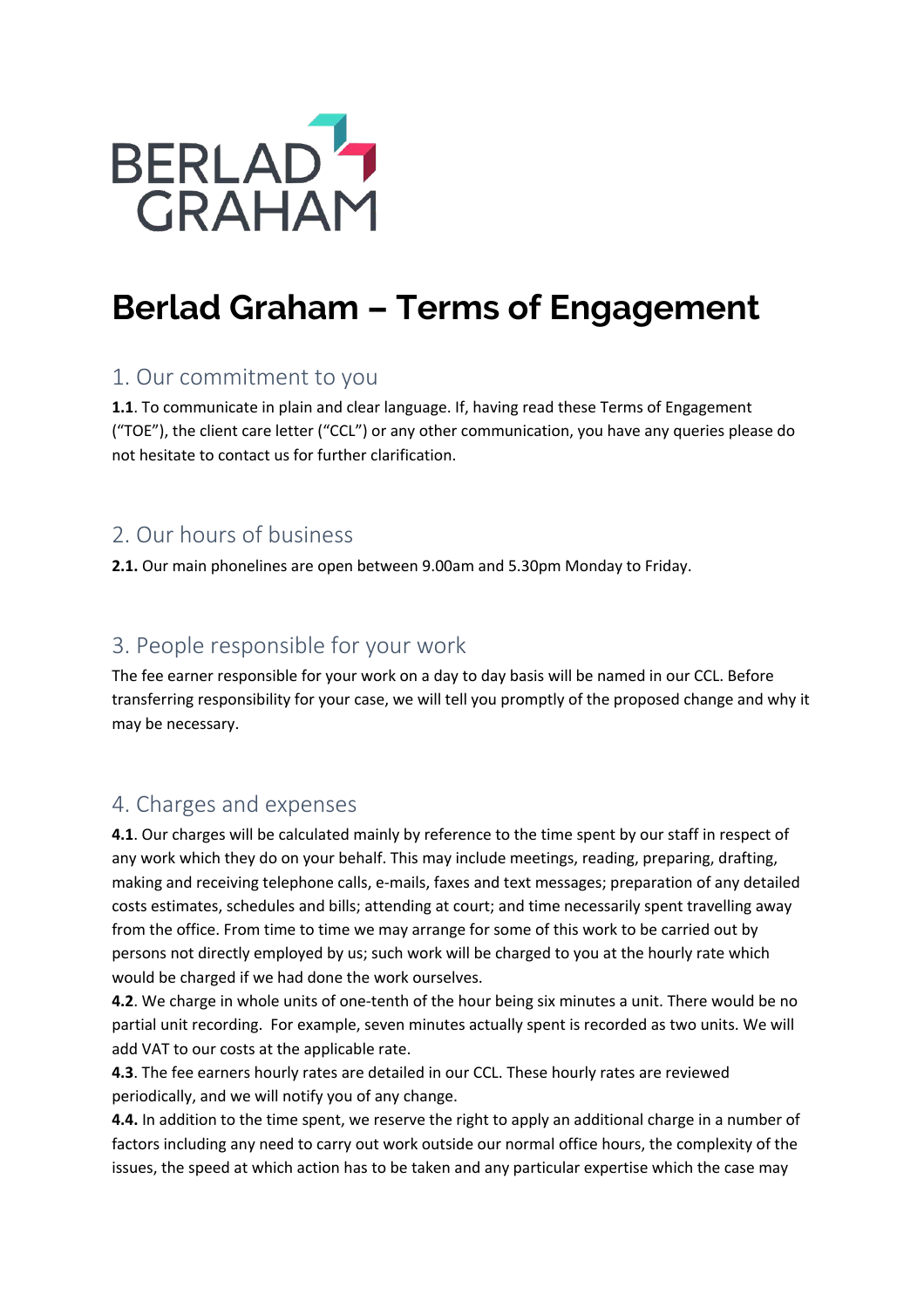

# **Berlad Graham – Terms of Engagement**

#### 1. Our commitment to you

**1.1**. To communicate in plain and clear language. If, having read these Terms of Engagement ("TOE"), the client care letter ("CCL") or any other communication, you have any queries please do not hesitate to contact us for further clarification.

#### 2. Our hours of business

**2.1.** Our main phonelines are open between 9.00am and 5.30pm Monday to Friday.

#### 3. People responsible for your work

The fee earner responsible for your work on a day to day basis will be named in our CCL. Before transferring responsibility for your case, we will tell you promptly of the proposed change and why it may be necessary.

#### 4. Charges and expenses

**4.1**. Our charges will be calculated mainly by reference to the time spent by our staff in respect of any work which they do on your behalf. This may include meetings, reading, preparing, drafting, making and receiving telephone calls, e-mails, faxes and text messages; preparation of any detailed costs estimates, schedules and bills; attending at court; and time necessarily spent travelling away from the office. From time to time we may arrange for some of this work to be carried out by persons not directly employed by us; such work will be charged to you at the hourly rate which would be charged if we had done the work ourselves.

**4.2**. We charge in whole units of one-tenth of the hour being six minutes a unit. There would be no partial unit recording. For example, seven minutes actually spent is recorded as two units. We will add VAT to our costs at the applicable rate.

**4.3**. The fee earners hourly rates are detailed in our CCL. These hourly rates are reviewed periodically, and we will notify you of any change.

**4.4.** In addition to the time spent, we reserve the right to apply an additional charge in a number of factors including any need to carry out work outside our normal office hours, the complexity of the issues, the speed at which action has to be taken and any particular expertise which the case may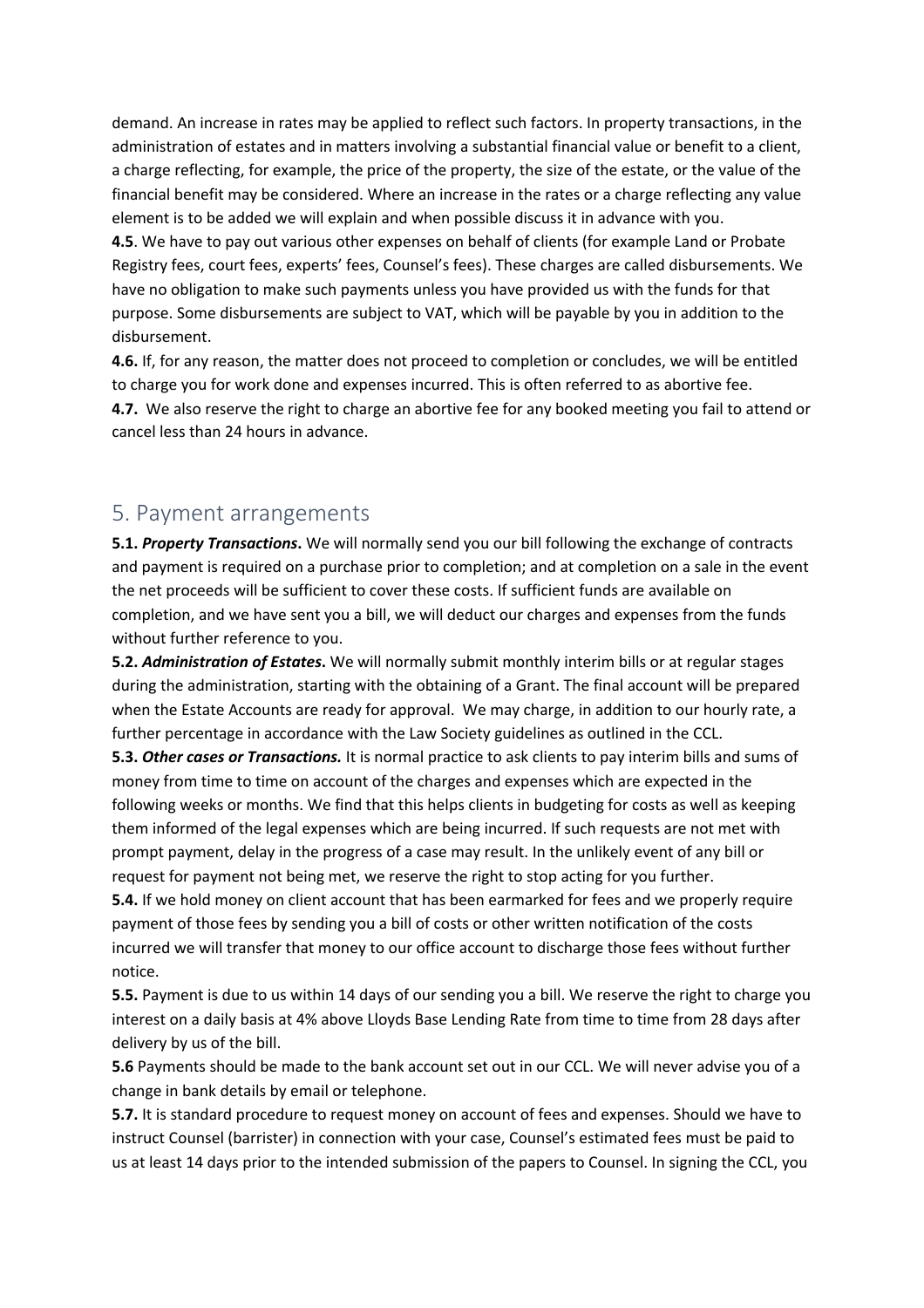demand. An increase in rates may be applied to reflect such factors. In property transactions, in the administration of estates and in matters involving a substantial financial value or benefit to a client, a charge reflecting, for example, the price of the property, the size of the estate, or the value of the financial benefit may be considered. Where an increase in the rates or a charge reflecting any value element is to be added we will explain and when possible discuss it in advance with you.

**4.5**. We have to pay out various other expenses on behalf of clients (for example Land or Probate Registry fees, court fees, experts' fees, Counsel's fees). These charges are called disbursements. We have no obligation to make such payments unless you have provided us with the funds for that purpose. Some disbursements are subject to VAT, which will be payable by you in addition to the disbursement.

**4.6.** If, for any reason, the matter does not proceed to completion or concludes, we will be entitled to charge you for work done and expenses incurred. This is often referred to as abortive fee. **4.7.** We also reserve the right to charge an abortive fee for any booked meeting you fail to attend or cancel less than 24 hours in advance.

#### 5. Payment arrangements

**5.1.** *Property Transactions***.** We will normally send you our bill following the exchange of contracts and payment is required on a purchase prior to completion; and at completion on a sale in the event the net proceeds will be sufficient to cover these costs. If sufficient funds are available on completion, and we have sent you a bill, we will deduct our charges and expenses from the funds without further reference to you.

**5.2.** *Administration of Estates***.** We will normally submit monthly interim bills or at regular stages during the administration, starting with the obtaining of a Grant. The final account will be prepared when the Estate Accounts are ready for approval. We may charge, in addition to our hourly rate, a further percentage in accordance with the Law Society guidelines as outlined in the CCL.

**5.3.** *Other cases or Transactions.* It is normal practice to ask clients to pay interim bills and sums of money from time to time on account of the charges and expenses which are expected in the following weeks or months. We find that this helps clients in budgeting for costs as well as keeping them informed of the legal expenses which are being incurred. If such requests are not met with prompt payment, delay in the progress of a case may result. In the unlikely event of any bill or request for payment not being met, we reserve the right to stop acting for you further.

**5.4.** If we hold money on client account that has been earmarked for fees and we properly require payment of those fees by sending you a bill of costs or other written notification of the costs incurred we will transfer that money to our office account to discharge those fees without further notice.

**5.5.** Payment is due to us within 14 days of our sending you a bill. We reserve the right to charge you interest on a daily basis at 4% above Lloyds Base Lending Rate from time to time from 28 days after delivery by us of the bill.

**5.6** Payments should be made to the bank account set out in our CCL. We will never advise you of a change in bank details by email or telephone.

**5.7.** It is standard procedure to request money on account of fees and expenses. Should we have to instruct Counsel (barrister) in connection with your case, Counsel's estimated fees must be paid to us at least 14 days prior to the intended submission of the papers to Counsel. In signing the CCL, you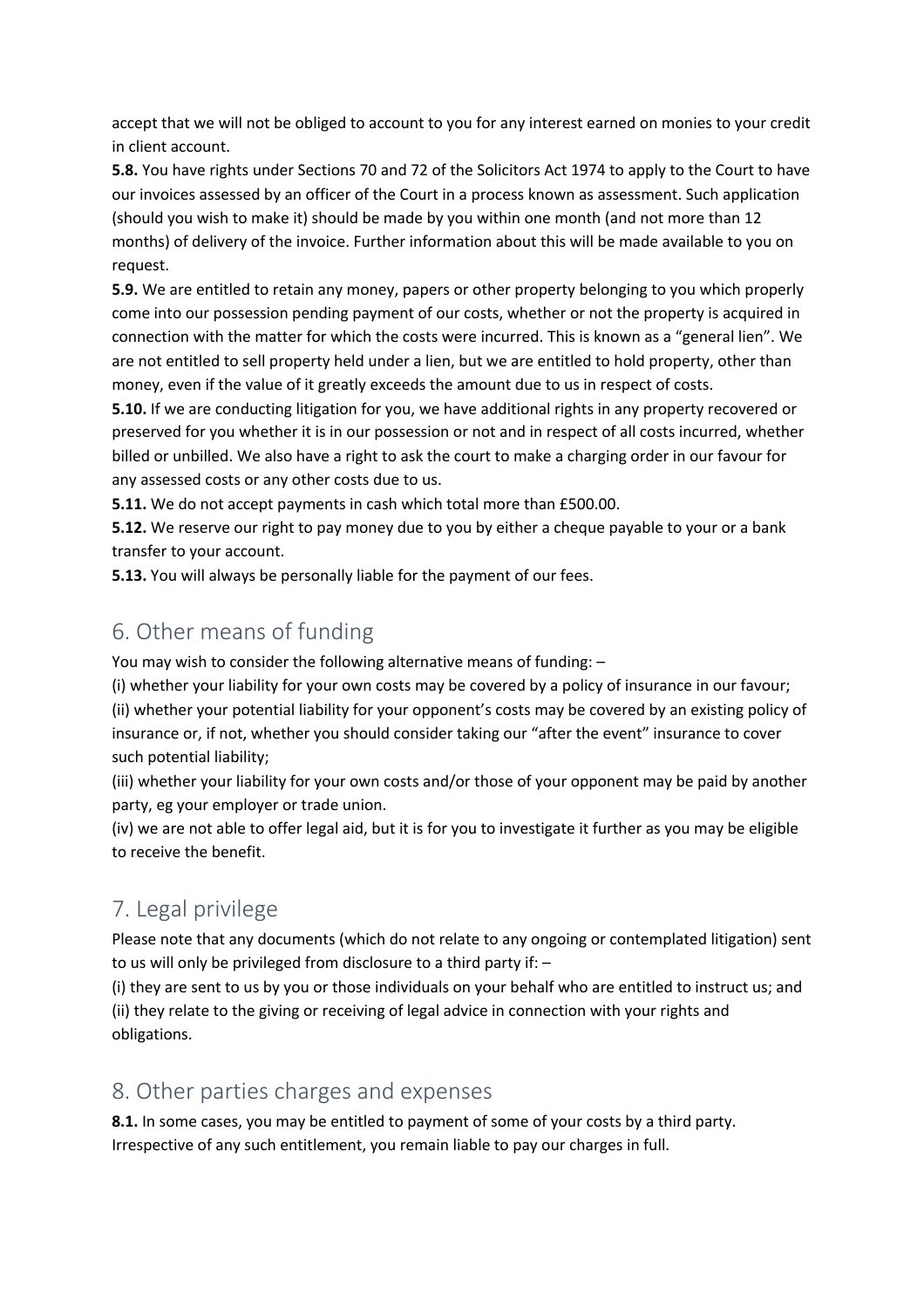accept that we will not be obliged to account to you for any interest earned on monies to your credit in client account.

**5.8.** You have rights under Sections 70 and 72 of the Solicitors Act 1974 to apply to the Court to have our invoices assessed by an officer of the Court in a process known as assessment. Such application (should you wish to make it) should be made by you within one month (and not more than 12 months) of delivery of the invoice. Further information about this will be made available to you on request.

**5.9.** We are entitled to retain any money, papers or other property belonging to you which properly come into our possession pending payment of our costs, whether or not the property is acquired in connection with the matter for which the costs were incurred. This is known as a "general lien". We are not entitled to sell property held under a lien, but we are entitled to hold property, other than money, even if the value of it greatly exceeds the amount due to us in respect of costs.

**5.10.** If we are conducting litigation for you, we have additional rights in any property recovered or preserved for you whether it is in our possession or not and in respect of all costs incurred, whether billed or unbilled. We also have a right to ask the court to make a charging order in our favour for any assessed costs or any other costs due to us.

**5.11.** We do not accept payments in cash which total more than £500.00.

**5.12.** We reserve our right to pay money due to you by either a cheque payable to your or a bank transfer to your account.

**5.13.** You will always be personally liable for the payment of our fees.

### 6. Other means of funding

You may wish to consider the following alternative means of funding: –

(i) whether your liability for your own costs may be covered by a policy of insurance in our favour; (ii) whether your potential liability for your opponent's costs may be covered by an existing policy of insurance or, if not, whether you should consider taking our "after the event" insurance to cover such potential liability;

(iii) whether your liability for your own costs and/or those of your opponent may be paid by another party, eg your employer or trade union.

(iv) we are not able to offer legal aid, but it is for you to investigate it further as you may be eligible to receive the benefit.

## 7. Legal privilege

Please note that any documents (which do not relate to any ongoing or contemplated litigation) sent to us will only be privileged from disclosure to a third party if: –

(i) they are sent to us by you or those individuals on your behalf who are entitled to instruct us; and (ii) they relate to the giving or receiving of legal advice in connection with your rights and obligations.

#### 8. Other parties charges and expenses

**8.1.** In some cases, you may be entitled to payment of some of your costs by a third party. Irrespective of any such entitlement, you remain liable to pay our charges in full.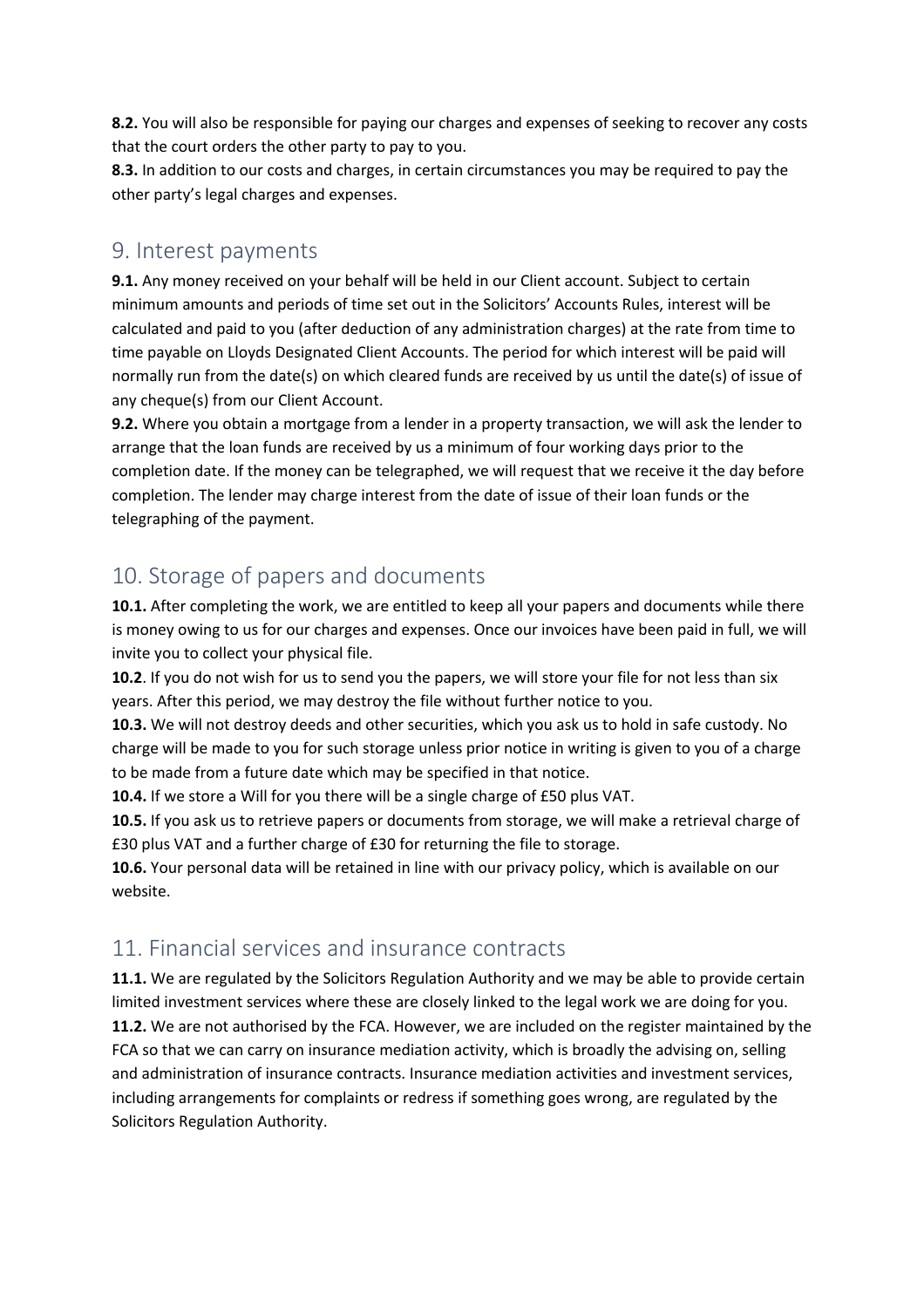**8.2.** You will also be responsible for paying our charges and expenses of seeking to recover any costs that the court orders the other party to pay to you.

**8.3.** In addition to our costs and charges, in certain circumstances you may be required to pay the other party's legal charges and expenses.

#### 9. Interest payments

**9.1.** Any money received on your behalf will be held in our Client account. Subject to certain minimum amounts and periods of time set out in the Solicitors' Accounts Rules, interest will be calculated and paid to you (after deduction of any administration charges) at the rate from time to time payable on Lloyds Designated Client Accounts. The period for which interest will be paid will normally run from the date(s) on which cleared funds are received by us until the date(s) of issue of any cheque(s) from our Client Account.

**9.2.** Where you obtain a mortgage from a lender in a property transaction, we will ask the lender to arrange that the loan funds are received by us a minimum of four working days prior to the completion date. If the money can be telegraphed, we will request that we receive it the day before completion. The lender may charge interest from the date of issue of their loan funds or the telegraphing of the payment.

#### 10. Storage of papers and documents

**10.1.** After completing the work, we are entitled to keep all your papers and documents while there is money owing to us for our charges and expenses. Once our invoices have been paid in full, we will invite you to collect your physical file.

**10.2**. If you do not wish for us to send you the papers, we will store your file for not less than six years. After this period, we may destroy the file without further notice to you.

**10.3.** We will not destroy deeds and other securities, which you ask us to hold in safe custody. No charge will be made to you for such storage unless prior notice in writing is given to you of a charge to be made from a future date which may be specified in that notice.

**10.4.** If we store a Will for you there will be a single charge of £50 plus VAT.

**10.5.** If you ask us to retrieve papers or documents from storage, we will make a retrieval charge of £30 plus VAT and a further charge of £30 for returning the file to storage.

**10.6.** Your personal data will be retained in line with our privacy policy, which is available on our website.

#### 11. Financial services and insurance contracts

**11.1.** We are regulated by the Solicitors Regulation Authority and we may be able to provide certain limited investment services where these are closely linked to the legal work we are doing for you. **11.2.** We are not authorised by the FCA. However, we are included on the register maintained by the FCA so that we can carry on insurance mediation activity, which is broadly the advising on, selling and administration of insurance contracts. Insurance mediation activities and investment services, including arrangements for complaints or redress if something goes wrong, are regulated by the Solicitors Regulation Authority.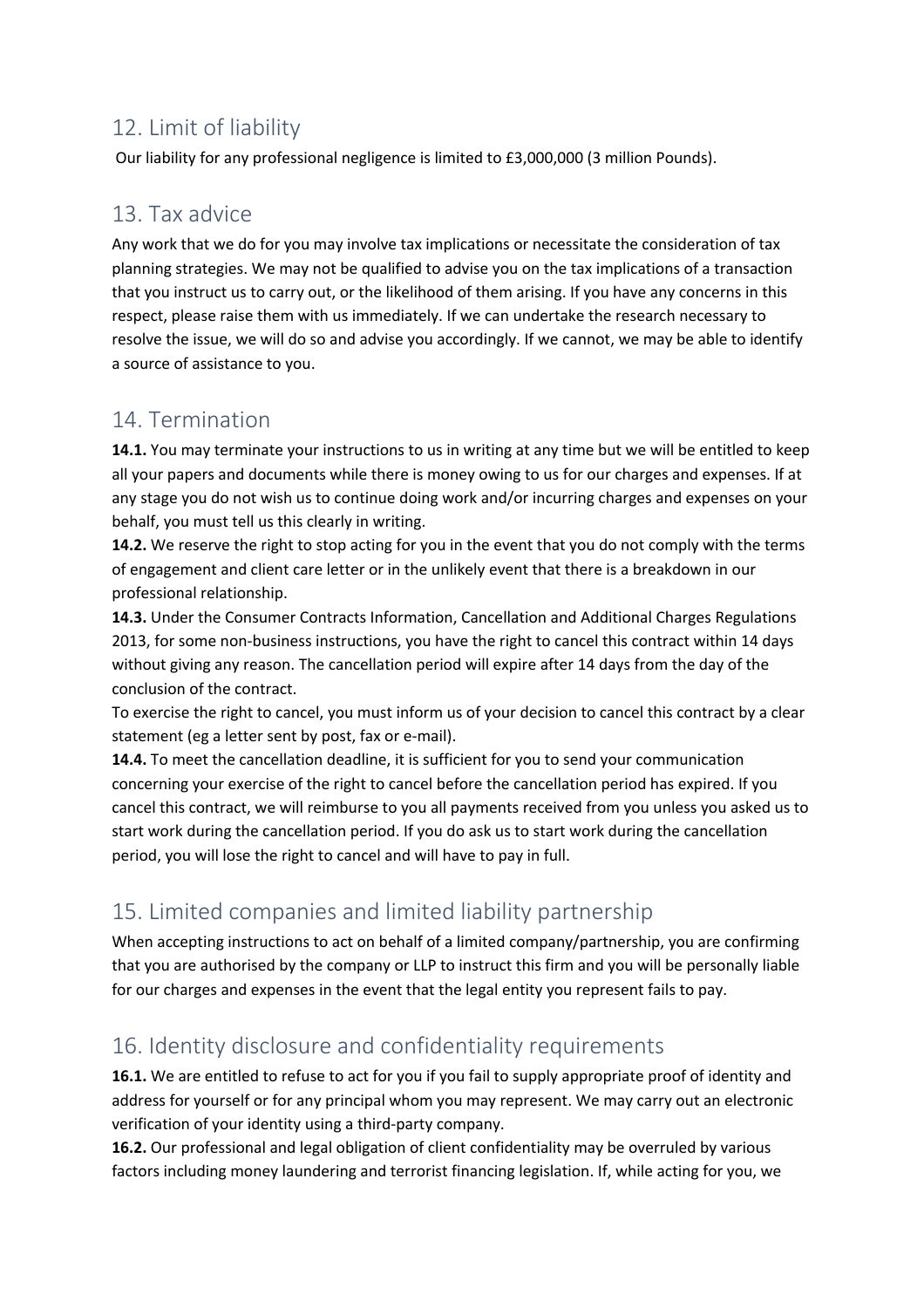## 12. Limit of liability

Our liability for any professional negligence is limited to £3,000,000 (3 million Pounds).

### 13. Tax advice

Any work that we do for you may involve tax implications or necessitate the consideration of tax planning strategies. We may not be qualified to advise you on the tax implications of a transaction that you instruct us to carry out, or the likelihood of them arising. If you have any concerns in this respect, please raise them with us immediately. If we can undertake the research necessary to resolve the issue, we will do so and advise you accordingly. If we cannot, we may be able to identify a source of assistance to you.

### 14. Termination

**14.1.** You may terminate your instructions to us in writing at any time but we will be entitled to keep all your papers and documents while there is money owing to us for our charges and expenses. If at any stage you do not wish us to continue doing work and/or incurring charges and expenses on your behalf, you must tell us this clearly in writing.

**14.2.** We reserve the right to stop acting for you in the event that you do not comply with the terms of engagement and client care letter or in the unlikely event that there is a breakdown in our professional relationship.

**14.3.** Under the Consumer Contracts Information, Cancellation and Additional Charges Regulations 2013, for some non-business instructions, you have the right to cancel this contract within 14 days without giving any reason. The cancellation period will expire after 14 days from the day of the conclusion of the contract.

To exercise the right to cancel, you must inform us of your decision to cancel this contract by a clear statement (eg a letter sent by post, fax or e-mail).

**14.4.** To meet the cancellation deadline, it is sufficient for you to send your communication concerning your exercise of the right to cancel before the cancellation period has expired. If you cancel this contract, we will reimburse to you all payments received from you unless you asked us to start work during the cancellation period. If you do ask us to start work during the cancellation period, you will lose the right to cancel and will have to pay in full.

## 15. Limited companies and limited liability partnership

When accepting instructions to act on behalf of a limited company/partnership, you are confirming that you are authorised by the company or LLP to instruct this firm and you will be personally liable for our charges and expenses in the event that the legal entity you represent fails to pay.

## 16. Identity disclosure and confidentiality requirements

**16.1.** We are entitled to refuse to act for you if you fail to supply appropriate proof of identity and address for yourself or for any principal whom you may represent. We may carry out an electronic verification of your identity using a third-party company.

**16.2.** Our professional and legal obligation of client confidentiality may be overruled by various factors including money laundering and terrorist financing legislation. If, while acting for you, we